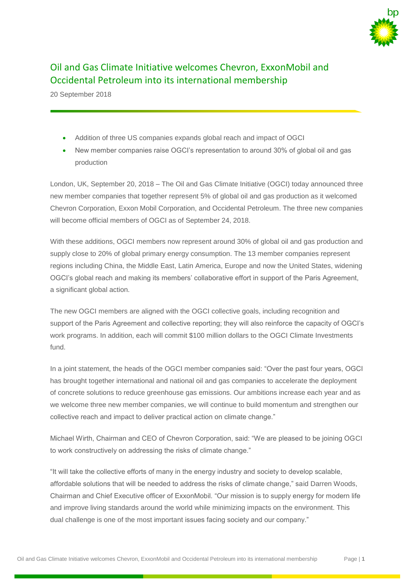

## Oil and Gas Climate Initiative welcomes Chevron, ExxonMobil and Occidental Petroleum into its international membership

20 September 2018

- Addition of three US companies expands global reach and impact of OGCI
- New member companies raise OGCI's representation to around 30% of global oil and gas production

London, UK, September 20, 2018 – The Oil and Gas Climate Initiative (OGCI) today announced three new member companies that together represent 5% of global oil and gas production as it welcomed Chevron Corporation, Exxon Mobil Corporation, and Occidental Petroleum. The three new companies will become official members of OGCI as of September 24, 2018.

With these additions, OGCI members now represent around 30% of global oil and gas production and supply close to 20% of global primary energy consumption. The 13 member companies represent regions including China, the Middle East, Latin America, Europe and now the United States, widening OGCI's global reach and making its members' collaborative effort in support of the Paris Agreement, a significant global action.

The new OGCI members are aligned with the OGCI collective goals, including recognition and support of the Paris Agreement and collective reporting; they will also reinforce the capacity of OGCI's work programs. In addition, each will commit \$100 million dollars to the OGCI Climate Investments fund.

In a joint statement, the heads of the OGCI member companies said: "Over the past four years, OGCI has brought together international and national oil and gas companies to accelerate the deployment of concrete solutions to reduce greenhouse gas emissions. Our ambitions increase each year and as we welcome three new member companies, we will continue to build momentum and strengthen our collective reach and impact to deliver practical action on climate change."

Michael Wirth, Chairman and CEO of Chevron Corporation, said: "We are pleased to be joining OGCI to work constructively on addressing the risks of climate change."

"It will take the collective efforts of many in the energy industry and society to develop scalable, affordable solutions that will be needed to address the risks of climate change," said Darren Woods, Chairman and Chief Executive officer of ExxonMobil. "Our mission is to supply energy for modern life and improve living standards around the world while minimizing impacts on the environment. This dual challenge is one of the most important issues facing society and our company."